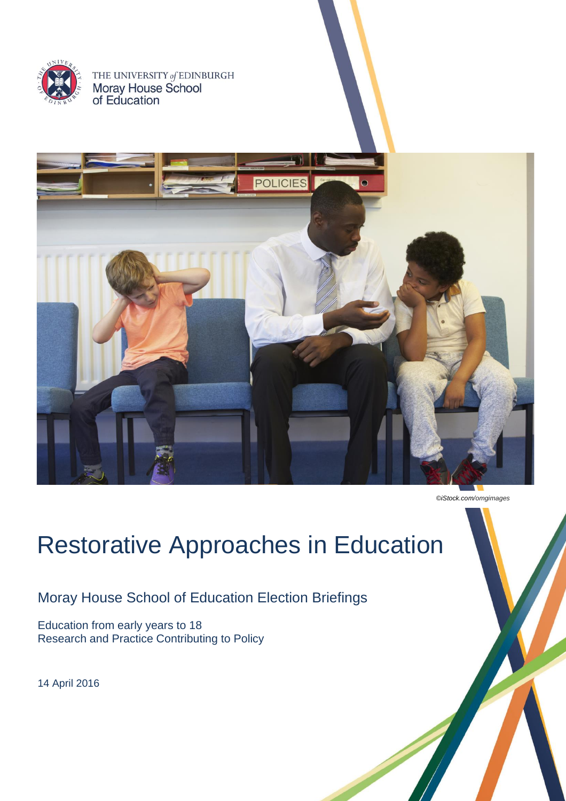

THE UNIVERSITY of EDINBURGH<br>**Moray House School**<br>of Education



*©iStock.com/omgimages*

# Restorative Approaches in Education

Moray House School of Education Election Briefings

Education from early years to 18 Research and Practice Contributing to Policy

14 April 2016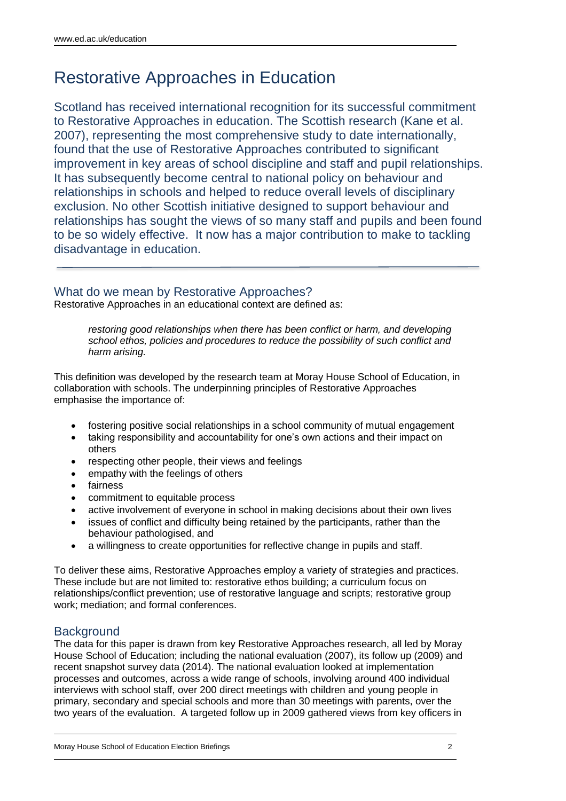# Restorative Approaches in Education

Scotland has received international recognition for its successful commitment to Restorative Approaches in education. The Scottish research (Kane et al. 2007), representing the most comprehensive study to date internationally, found that the use of Restorative Approaches contributed to significant improvement in key areas of school discipline and staff and pupil relationships. It has subsequently become central to national policy on behaviour and relationships in schools and helped to reduce overall levels of disciplinary exclusion. No other Scottish initiative designed to support behaviour and relationships has sought the views of so many staff and pupils and been found to be so widely effective. It now has a major contribution to make to tackling disadvantage in education.

## What do we mean by Restorative Approaches?

Restorative Approaches in an educational context are defined as:

*restoring good relationships when there has been conflict or harm, and developing school ethos, policies and procedures to reduce the possibility of such conflict and harm arising.* 

This definition was developed by the research team at Moray House School of Education, in collaboration with schools. The underpinning principles of Restorative Approaches emphasise the importance of:

- fostering positive social relationships in a school community of mutual engagement
- taking responsibility and accountability for one's own actions and their impact on others
- respecting other people, their views and feelings
- empathy with the feelings of others
- fairness
- commitment to equitable process
- active involvement of everyone in school in making decisions about their own lives
- issues of conflict and difficulty being retained by the participants, rather than the behaviour pathologised, and
- a willingness to create opportunities for reflective change in pupils and staff.

To deliver these aims, Restorative Approaches employ a variety of strategies and practices. These include but are not limited to: restorative ethos building; a curriculum focus on relationships/conflict prevention; use of restorative language and scripts; restorative group work; mediation; and formal conferences.

#### **Background**

The data for this paper is drawn from key Restorative Approaches research, all led by Moray House School of Education; including the national evaluation (2007), its follow up (2009) and recent snapshot survey data (2014). The national evaluation looked at implementation processes and outcomes, across a wide range of schools, involving around 400 individual interviews with school staff, over 200 direct meetings with children and young people in primary, secondary and special schools and more than 30 meetings with parents, over the two years of the evaluation. A targeted follow up in 2009 gathered views from key officers in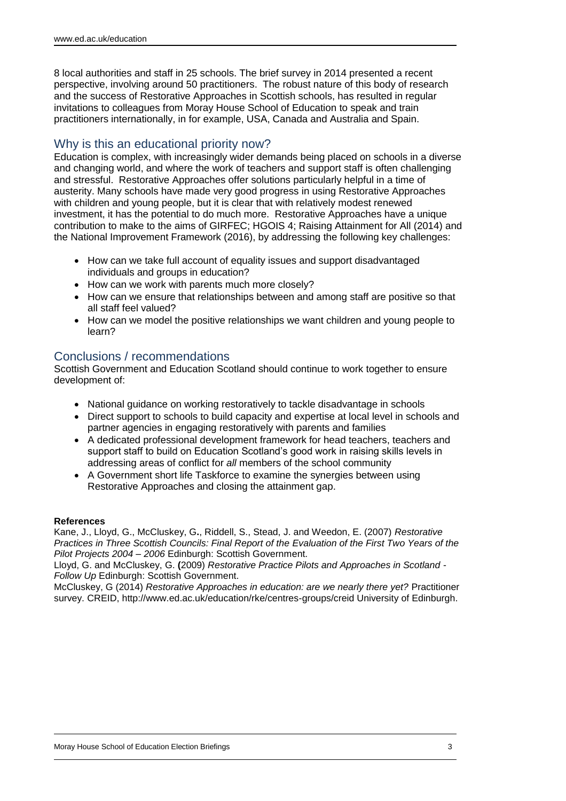8 local authorities and staff in 25 schools. The brief survey in 2014 presented a recent perspective, involving around 50 practitioners. The robust nature of this body of research and the success of Restorative Approaches in Scottish schools, has resulted in regular invitations to colleagues from Moray House School of Education to speak and train practitioners internationally, in for example, USA, Canada and Australia and Spain.

## Why is this an educational priority now?

Education is complex, with increasingly wider demands being placed on schools in a diverse and changing world, and where the work of teachers and support staff is often challenging and stressful. Restorative Approaches offer solutions particularly helpful in a time of austerity. Many schools have made very good progress in using Restorative Approaches with children and young people, but it is clear that with relatively modest renewed investment, it has the potential to do much more. Restorative Approaches have a unique contribution to make to the aims of GIRFEC; HGOIS 4; Raising Attainment for All (2014) and the National Improvement Framework (2016), by addressing the following key challenges:

- How can we take full account of equality issues and support disadvantaged individuals and groups in education?
- How can we work with parents much more closely?
- How can we ensure that relationships between and among staff are positive so that all staff feel valued?
- How can we model the positive relationships we want children and young people to learn?

#### Conclusions / recommendations

Scottish Government and Education Scotland should continue to work together to ensure development of:

- National guidance on working restoratively to tackle disadvantage in schools
- Direct support to schools to build capacity and expertise at local level in schools and partner agencies in engaging restoratively with parents and families
- A dedicated professional development framework for head teachers, teachers and support staff to build on Education Scotland's good work in raising skills levels in addressing areas of conflict for *all* members of the school community
- A Government short life Taskforce to examine the synergies between using Restorative Approaches and closing the attainment gap.

#### **References**

Kane, J., Lloyd, G., McCluskey, G**.**, Riddell, S., Stead, J. and Weedon, E. (2007) *Restorative Practices in Three Scottish Councils: Final Report of the Evaluation of the First Two Years of the Pilot Projects 2004 – 2006* Edinburgh: Scottish Government.

Lloyd, G. and McCluskey, G. **(**2009) *Restorative Practice Pilots and Approaches in Scotland - Follow Up* Edinburgh: Scottish Government.

McCluskey, G (2014) *Restorative Approaches in education: are we nearly there yet?* Practitioner survey. CREID, http://www.ed.ac.uk/education/rke/centres-groups/creid University of Edinburgh.